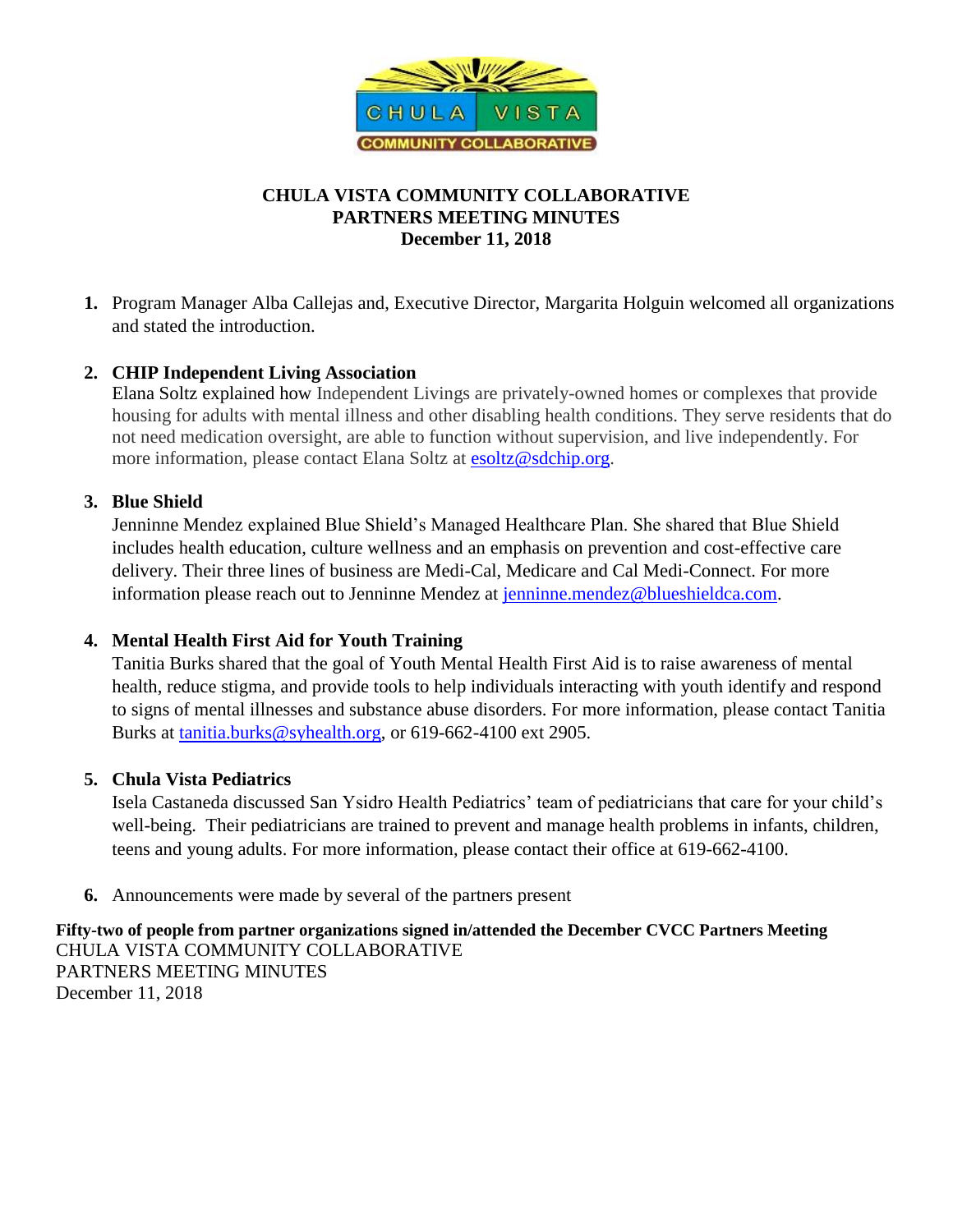

# **CHULA VISTA COMMUNITY COLLABORATIVE PARTNERS MEETING MINUTES December 11, 2018**

**1.** Program Manager Alba Callejas and, Executive Director, Margarita Holguin welcomed all organizations and stated the introduction.

### **2. CHIP Independent Living Association**

Elana Soltz explained how Independent Livings are privately-owned homes or complexes that provide housing for adults with mental illness and other disabling health conditions. They serve residents that do not need medication oversight, are able to function without supervision, and live independently. For more information, please contact Elana Soltz at [esoltz@sdchip.org.](mailto:esoltz@sdchip.org)

### **3. Blue Shield**

Jenninne Mendez explained Blue Shield's Managed Healthcare Plan. She shared that Blue Shield includes health education, culture wellness and an emphasis on prevention and cost-effective care delivery. Their three lines of business are Medi-Cal, Medicare and Cal Medi-Connect. For more information please reach out to Jenninne Mendez at [jenninne.mendez@blueshieldca.com.](mailto:jenninne.mendez@blueshieldca.com)

# **4. Mental Health First Aid for Youth Training**

Tanitia Burks shared that the goal of Youth Mental Health First Aid is to raise awareness of mental health, reduce stigma, and provide tools to help individuals interacting with youth identify and respond to signs of mental illnesses and substance abuse disorders. For more information, please contact Tanitia Burks at [tanitia.burks@syhealth.org,](mailto:tanitia.burks@syhealth.org) or 619-662-4100 ext 2905.

# **5. Chula Vista Pediatrics**

Isela Castaneda discussed San Ysidro Health Pediatrics' team of pediatricians that care for your child's well-being. Their pediatricians are trained to prevent and manage health problems in infants, children, teens and young adults. For more information, please contact their office at 619-662-4100.

**6.** Announcements were made by several of the partners present

**Fifty-two of people from partner organizations signed in/attended the December CVCC Partners Meeting**  CHULA VISTA COMMUNITY COLLABORATIVE PARTNERS MEETING MINUTES December 11, 2018